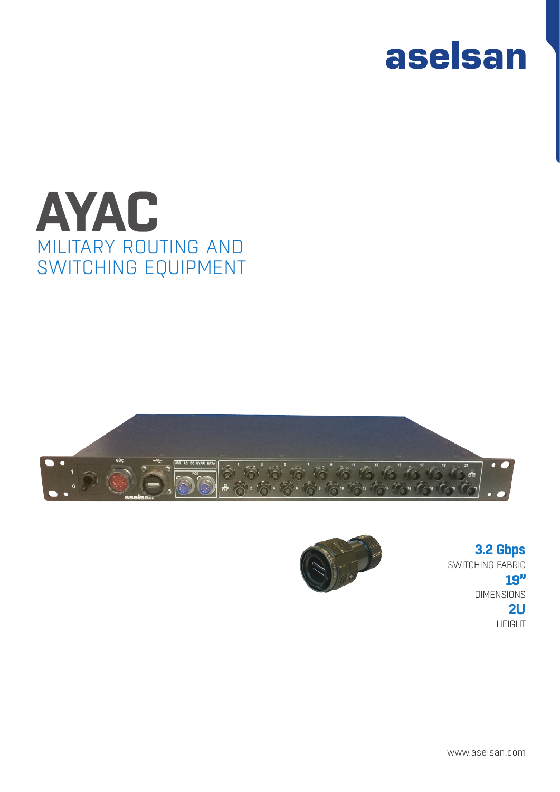







SWITCHING FABRIC DIMENSIONS HEIGHT **3.2 Gbps 19" 2U**

www.aselsan.com